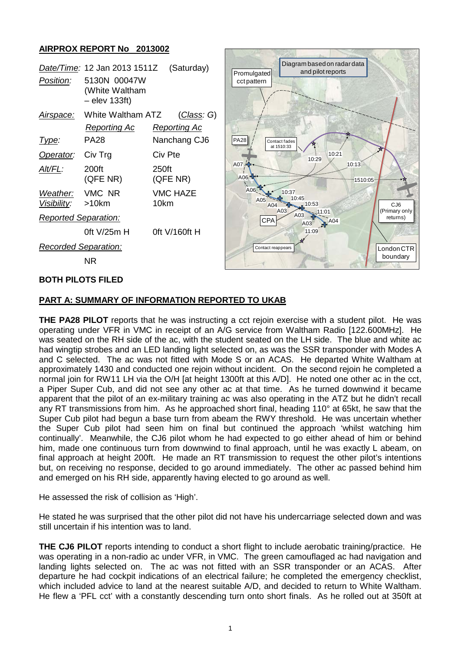## **AIRPROX REPORT No 2013002**

| <i>Position:</i>                     | Date/Time: 12 Jan 2013 1511Z (Saturday)<br>5130N 00047W<br>(White Waltham<br>$-$ elev 133ft) |                         | Prom<br>cct p |
|--------------------------------------|----------------------------------------------------------------------------------------------|-------------------------|---------------|
|                                      | Airspace: White Waltham ATZ                                                                  | (Class: G)              |               |
|                                      | Reporting Ac                                                                                 | Reporting Ac            |               |
| Type:                                | PA28                                                                                         | Nanchang CJ6            | <b>PA28</b>   |
| Operator:                            | Civ Trg                                                                                      | Civ Pte                 |               |
| Alt/FL:                              | 200ft<br>(QFE NR)                                                                            | 250ft<br>(QFE NR)       | A07 /<br>A06  |
| Weather: VMC NR<br>Visibility: >10km |                                                                                              | <b>VMC HAZE</b><br>10km |               |
| <b>Reported Separation:</b>          |                                                                                              |                         |               |
|                                      | 0ft V/25m H                                                                                  | $0$ ft V/160ft H        |               |
| <b>Recorded Separation:</b>          |                                                                                              |                         |               |
|                                      | ΝR                                                                                           |                         |               |



### **BOTH PILOTS FILED**

### **PART A: SUMMARY OF INFORMATION REPORTED TO UKAB**

**THE PA28 PILOT** reports that he was instructing a cct rejoin exercise with a student pilot. He was operating under VFR in VMC in receipt of an A/G service from Waltham Radio [122.600MHz]. He was seated on the RH side of the ac, with the student seated on the LH side. The blue and white ac had wingtip strobes and an LED landing light selected on, as was the SSR transponder with Modes A and C selected. The ac was not fitted with Mode S or an ACAS. He departed White Waltham at approximately 1430 and conducted one rejoin without incident. On the second rejoin he completed a normal join for RW11 LH via the O/H [at height 1300ft at this A/D]. He noted one other ac in the cct, a Piper Super Cub, and did not see any other ac at that time. As he turned downwind it became apparent that the pilot of an ex-military training ac was also operating in the ATZ but he didn't recall any RT transmissions from him. As he approached short final, heading 110° at 65kt, he saw that the Super Cub pilot had begun a base turn from abeam the RWY threshold. He was uncertain whether the Super Cub pilot had seen him on final but continued the approach 'whilst watching him continually'. Meanwhile, the CJ6 pilot whom he had expected to go either ahead of him or behind him, made one continuous turn from downwind to final approach, until he was exactly L abeam, on final approach at height 200ft. He made an RT transmission to request the other pilot's intentions but, on receiving no response, decided to go around immediately. The other ac passed behind him and emerged on his RH side, apparently having elected to go around as well.

He assessed the risk of collision as 'High'.

He stated he was surprised that the other pilot did not have his undercarriage selected down and was still uncertain if his intention was to land.

**THE CJ6 PILOT** reports intending to conduct a short flight to include aerobatic training/practice. He was operating in a non-radio ac under VFR, in VMC. The green camouflaged ac had navigation and landing lights selected on. The ac was not fitted with an SSR transponder or an ACAS. After departure he had cockpit indications of an electrical failure; he completed the emergency checklist, which included advice to land at the nearest suitable A/D, and decided to return to White Waltham. He flew a 'PFL cct' with a constantly descending turn onto short finals. As he rolled out at 350ft at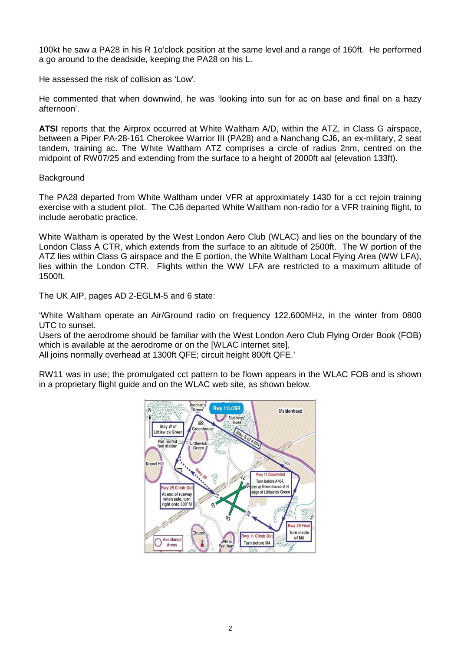100kt he saw a PA28 in his R 1o'clock position at the same level and a range of 160ft. He performed a go around to the deadside, keeping the PA28 on his L.

He assessed the risk of collision as 'Low'.

He commented that when downwind, he was 'looking into sun for ac on base and final on a hazy afternoon'.

**ATSI** reports that the Airprox occurred at White Waltham A/D, within the ATZ, in Class G airspace, between a Piper PA-28-161 Cherokee Warrior III (PA28) and a Nanchang CJ6, an ex-military, 2 seat tandem, training ac. The White Waltham ATZ comprises a circle of radius 2nm, centred on the midpoint of RW07/25 and extending from the surface to a height of 2000ft aal (elevation 133ft).

### **Background**

The PA28 departed from White Waltham under VFR at approximately 1430 for a cct rejoin training exercise with a student pilot. The CJ6 departed White Waltham non-radio for a VFR training flight, to include aerobatic practice.

White Waltham is operated by the West London Aero Club (WLAC) and lies on the boundary of the London Class A CTR, which extends from the surface to an altitude of 2500ft. The W portion of the ATZ lies within Class G airspace and the E portion, the White Waltham Local Flying Area (WW LFA), lies within the London CTR. Flights within the WW LFA are restricted to a maximum altitude of 1500ft.

The UK AIP, pages AD 2-EGLM-5 and 6 state:

'White Waltham operate an Air/Ground radio on frequency 122.600MHz, in the winter from 0800 UTC to sunset.

Users of the aerodrome should be familiar with the West London Aero Club Flying Order Book (FOB) which is available at the aerodrome or on the **IWLAC** internet sitel.

All joins normally overhead at 1300ft QFE; circuit height 800ft QFE.'

RW11 was in use; the promulgated cct pattern to be flown appears in the WLAC FOB and is shown in a proprietary flight guide and on the WLAC web site, as shown below.

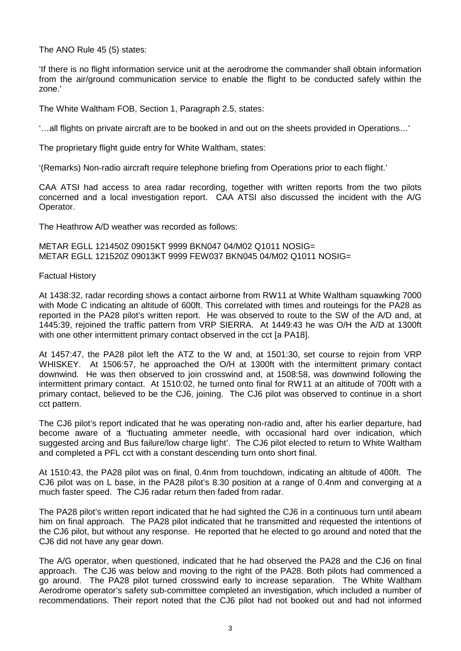The ANO Rule 45 (5) states:

'If there is no flight information service unit at the aerodrome the commander shall obtain information from the air/ground communication service to enable the flight to be conducted safely within the zone.'

The White Waltham FOB, Section 1, Paragraph 2.5, states:

'…all flights on private aircraft are to be booked in and out on the sheets provided in Operations…'

The proprietary flight guide entry for White Waltham, states:

'(Remarks) Non-radio aircraft require telephone briefing from Operations prior to each flight.'

CAA ATSI had access to area radar recording, together with written reports from the two pilots concerned and a local investigation report. CAA ATSI also discussed the incident with the A/G Operator.

The Heathrow A/D weather was recorded as follows:

METAR EGLL 121450Z 09015KT 9999 BKN047 04/M02 Q1011 NOSIG= METAR EGLL 121520Z 09013KT 9999 FEW037 BKN045 04/M02 Q1011 NOSIG=

Factual History

At 1438:32, radar recording shows a contact airborne from RW11 at White Waltham squawking 7000 with Mode C indicating an altitude of 600ft. This correlated with times and routeings for the PA28 as reported in the PA28 pilot's written report. He was observed to route to the SW of the A/D and, at 1445:39, rejoined the traffic pattern from VRP SIERRA. At 1449:43 he was O/H the A/D at 1300ft with one other intermittent primary contact observed in the cct [a PA18].

At 1457:47, the PA28 pilot left the ATZ to the W and, at 1501:30, set course to rejoin from VRP WHISKEY. At 1506:57, he approached the O/H at 1300ft with the intermittent primary contact downwind. He was then observed to join crosswind and, at 1508:58, was downwind following the intermittent primary contact. At 1510:02, he turned onto final for RW11 at an altitude of 700ft with a primary contact, believed to be the CJ6, joining. The CJ6 pilot was observed to continue in a short cct pattern.

The CJ6 pilot's report indicated that he was operating non-radio and, after his earlier departure, had become aware of a 'fluctuating ammeter needle, with occasional hard over indication, which suggested arcing and Bus failure/low charge light'. The CJ6 pilot elected to return to White Waltham and completed a PFL cct with a constant descending turn onto short final.

At 1510:43, the PA28 pilot was on final, 0.4nm from touchdown, indicating an altitude of 400ft. The CJ6 pilot was on L base, in the PA28 pilot's 8.30 position at a range of 0.4nm and converging at a much faster speed. The CJ6 radar return then faded from radar.

The PA28 pilot's written report indicated that he had sighted the CJ6 in a continuous turn until abeam him on final approach. The PA28 pilot indicated that he transmitted and requested the intentions of the CJ6 pilot, but without any response. He reported that he elected to go around and noted that the CJ6 did not have any gear down.

The A/G operator, when questioned, indicated that he had observed the PA28 and the CJ6 on final approach. The CJ6 was below and moving to the right of the PA28. Both pilots had commenced a go around. The PA28 pilot turned crosswind early to increase separation. The White Waltham Aerodrome operator's safety sub-committee completed an investigation, which included a number of recommendations. Their report noted that the CJ6 pilot had not booked out and had not informed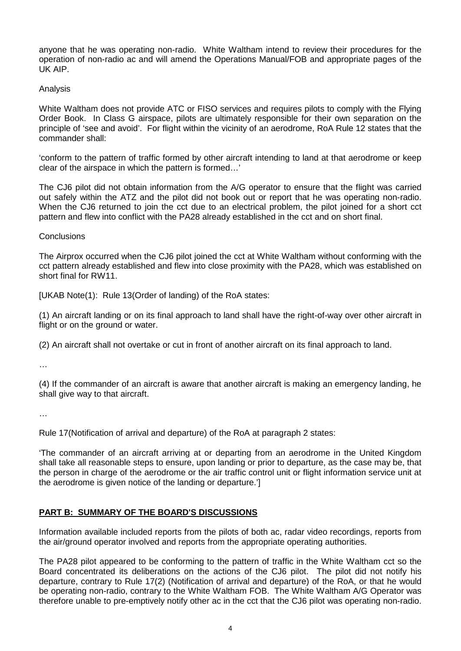anyone that he was operating non-radio. White Waltham intend to review their procedures for the operation of non-radio ac and will amend the Operations Manual/FOB and appropriate pages of the UK AIP.

#### Analysis

White Waltham does not provide ATC or FISO services and requires pilots to comply with the Flying Order Book. In Class G airspace, pilots are ultimately responsible for their own separation on the principle of 'see and avoid'. For flight within the vicinity of an aerodrome, RoA Rule 12 states that the commander shall:

'conform to the pattern of traffic formed by other aircraft intending to land at that aerodrome or keep clear of the airspace in which the pattern is formed…'

The CJ6 pilot did not obtain information from the A/G operator to ensure that the flight was carried out safely within the ATZ and the pilot did not book out or report that he was operating non-radio. When the CJ6 returned to join the cct due to an electrical problem, the pilot joined for a short cct pattern and flew into conflict with the PA28 already established in the cct and on short final.

#### **Conclusions**

The Airprox occurred when the CJ6 pilot joined the cct at White Waltham without conforming with the cct pattern already established and flew into close proximity with the PA28, which was established on short final for RW11.

[UKAB Note(1): Rule 13(Order of landing) of the RoA states:

(1) An aircraft landing or on its final approach to land shall have the right-of-way over other aircraft in flight or on the ground or water.

(2) An aircraft shall not overtake or cut in front of another aircraft on its final approach to land.

…

(4) If the commander of an aircraft is aware that another aircraft is making an emergency landing, he shall give way to that aircraft.

…

Rule 17(Notification of arrival and departure) of the RoA at paragraph 2 states:

'The commander of an aircraft arriving at or departing from an aerodrome in the United Kingdom shall take all reasonable steps to ensure, upon landing or prior to departure, as the case may be, that the person in charge of the aerodrome or the air traffic control unit or flight information service unit at the aerodrome is given notice of the landing or departure.']

# **PART B: SUMMARY OF THE BOARD'S DISCUSSIONS**

Information available included reports from the pilots of both ac, radar video recordings, reports from the air/ground operator involved and reports from the appropriate operating authorities.

The PA28 pilot appeared to be conforming to the pattern of traffic in the White Waltham cct so the Board concentrated its deliberations on the actions of the CJ6 pilot. The pilot did not notify his departure, contrary to Rule 17(2) (Notification of arrival and departure) of the RoA, or that he would be operating non-radio, contrary to the White Waltham FOB. The White Waltham A/G Operator was therefore unable to pre-emptively notify other ac in the cct that the CJ6 pilot was operating non-radio.